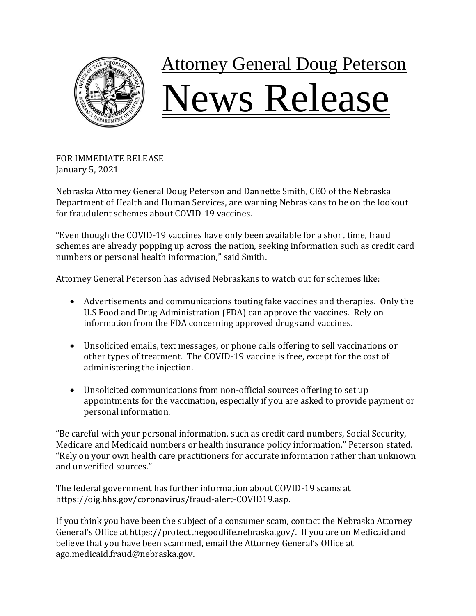

## **Attorney General Doug Peterson** Vews Release

FOR IMMEDIATE RELEASE January 5, 2021

Nebraska Attorney General Doug Peterson and Dannette Smith, CEO of the Nebraska Department of Health and Human Services, are warning Nebraskans to be on the lookout for fraudulent schemes about COVID-19 vaccines.

"Even though the COVID-19 vaccines have only been available for a short time, fraud schemes are already popping up across the nation, seeking information such as credit card numbers or personal health information," said Smith.

Attorney General Peterson has advised Nebraskans to watch out for schemes like:

- Advertisements and communications touting fake vaccines and therapies. Only the U.S Food and Drug Administration (FDA) can approve the vaccines. Rely on information from the FDA concerning approved drugs and vaccines.
- Unsolicited emails, text messages, or phone calls offering to sell vaccinations or other types of treatment. The COVID-19 vaccine is free, except for the cost of administering the injection.
- Unsolicited communications from non-official sources offering to set up appointments for the vaccination, especially if you are asked to provide payment or personal information.

"Be careful with your personal information, such as credit card numbers, Social Security, Medicare and Medicaid numbers or health insurance policy information," Peterson stated. "Rely on your own health care practitioners for accurate information rather than unknown and unverified sources."

The federal government has further information about COVID-19 scams at https://oig.hhs.gov/coronavirus/fraud-alert-COVID19.asp.

If you think you have been the subject of a consumer scam, contact the Nebraska Attorney General's Office at https://protectthegoodlife.nebraska.gov/. If you are on Medicaid and believe that you have been scammed, email the Attorney General's Office at ago.medicaid.fraud@nebraska.gov.